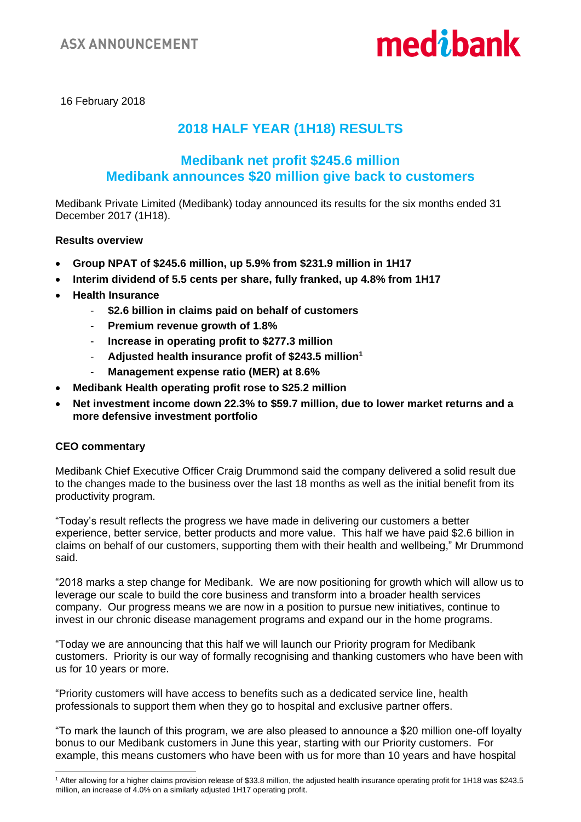

16 February 2018

# **2018 HALF YEAR (1H18) RESULTS**

# **Medibank net profit \$245.6 million Medibank announces \$20 million give back to customers**

Medibank Private Limited (Medibank) today announced its results for the six months ended 31 December 2017 (1H18).

# **Results overview**

- **Group NPAT of \$245.6 million, up 5.9% from \$231.9 million in 1H17**
- **Interim dividend of 5.5 cents per share, fully franked, up 4.8% from 1H17**
- **Health Insurance**
	- **\$2.6 billion in claims paid on behalf of customers**
	- **Premium revenue growth of 1.8%**
	- **Increase in operating profit to \$277.3 million**
	- **Adjusted health insurance profit of \$243.5 million<sup>1</sup>**
	- **Management expense ratio (MER) at 8.6%**
- **Medibank Health operating profit rose to \$25.2 million**
- **Net investment income down 22.3% to \$59.7 million, due to lower market returns and a more defensive investment portfolio**

# **CEO commentary**

Medibank Chief Executive Officer Craig Drummond said the company delivered a solid result due to the changes made to the business over the last 18 months as well as the initial benefit from its productivity program.

"Today's result reflects the progress we have made in delivering our customers a better experience, better service, better products and more value. This half we have paid \$2.6 billion in claims on behalf of our customers, supporting them with their health and wellbeing," Mr Drummond said.

"2018 marks a step change for Medibank. We are now positioning for growth which will allow us to leverage our scale to build the core business and transform into a broader health services company. Our progress means we are now in a position to pursue new initiatives, continue to invest in our chronic disease management programs and expand our in the home programs.

"Today we are announcing that this half we will launch our Priority program for Medibank customers. Priority is our way of formally recognising and thanking customers who have been with us for 10 years or more.

"Priority customers will have access to benefits such as a dedicated service line, health professionals to support them when they go to hospital and exclusive partner offers.

"To mark the launch of this program, we are also pleased to announce a \$20 million one-off loyalty bonus to our Medibank customers in June this year, starting with our Priority customers. For example, this means customers who have been with us for more than 10 years and have hospital

<sup>1</sup> After allowing for a higher claims provision release of \$33.8 million, the adjusted health insurance operating profit for 1H18 was \$243.5 million, an increase of 4.0% on a similarly adjusted 1H17 operating profit.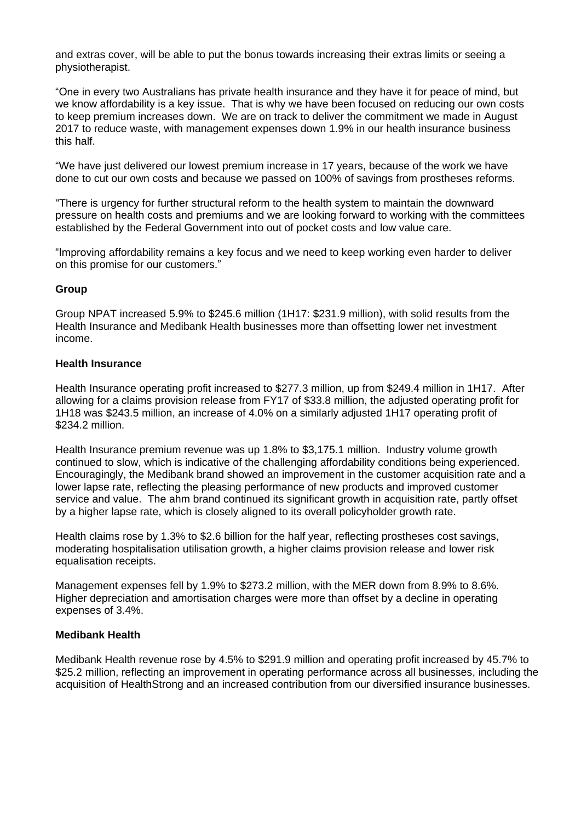and extras cover, will be able to put the bonus towards increasing their extras limits or seeing a physiotherapist.

"One in every two Australians has private health insurance and they have it for peace of mind, but we know affordability is a key issue. That is why we have been focused on reducing our own costs to keep premium increases down. We are on track to deliver the commitment we made in August 2017 to reduce waste, with management expenses down 1.9% in our health insurance business this half.

"We have just delivered our lowest premium increase in 17 years, because of the work we have done to cut our own costs and because we passed on 100% of savings from prostheses reforms.

"There is urgency for further structural reform to the health system to maintain the downward pressure on health costs and premiums and we are looking forward to working with the committees established by the Federal Government into out of pocket costs and low value care.

"Improving affordability remains a key focus and we need to keep working even harder to deliver on this promise for our customers."

### **Group**

Group NPAT increased 5.9% to \$245.6 million (1H17: \$231.9 million), with solid results from the Health Insurance and Medibank Health businesses more than offsetting lower net investment income.

#### **Health Insurance**

Health Insurance operating profit increased to \$277.3 million, up from \$249.4 million in 1H17. After allowing for a claims provision release from FY17 of \$33.8 million, the adjusted operating profit for 1H18 was \$243.5 million, an increase of 4.0% on a similarly adjusted 1H17 operating profit of \$234.2 million.

Health Insurance premium revenue was up 1.8% to \$3,175.1 million. Industry volume growth continued to slow, which is indicative of the challenging affordability conditions being experienced. Encouragingly, the Medibank brand showed an improvement in the customer acquisition rate and a lower lapse rate, reflecting the pleasing performance of new products and improved customer service and value. The ahm brand continued its significant growth in acquisition rate, partly offset by a higher lapse rate, which is closely aligned to its overall policyholder growth rate.

Health claims rose by 1.3% to \$2.6 billion for the half year, reflecting prostheses cost savings, moderating hospitalisation utilisation growth, a higher claims provision release and lower risk equalisation receipts.

Management expenses fell by 1.9% to \$273.2 million, with the MER down from 8.9% to 8.6%. Higher depreciation and amortisation charges were more than offset by a decline in operating expenses of 3.4%.

# **Medibank Health**

Medibank Health revenue rose by 4.5% to \$291.9 million and operating profit increased by 45.7% to \$25.2 million, reflecting an improvement in operating performance across all businesses, including the acquisition of HealthStrong and an increased contribution from our diversified insurance businesses.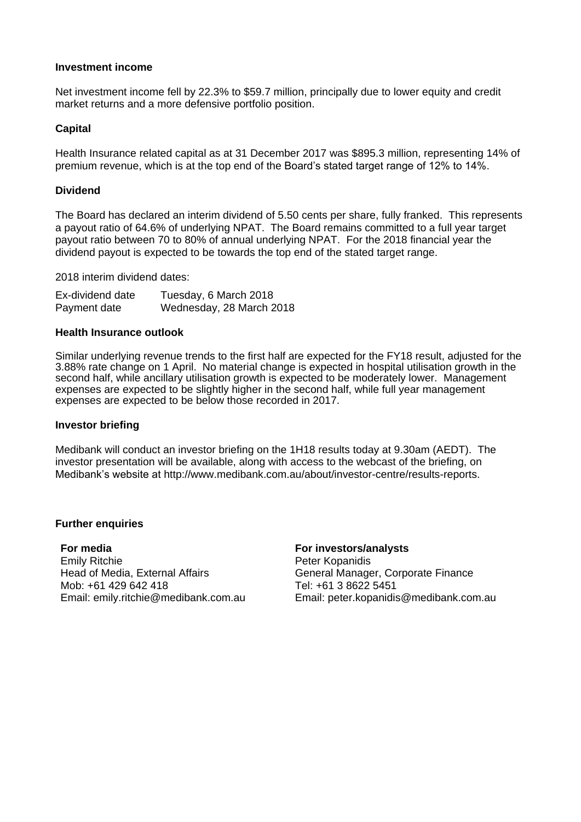#### **Investment income**

Net investment income fell by 22.3% to \$59.7 million, principally due to lower equity and credit market returns and a more defensive portfolio position.

#### **Capital**

Health Insurance related capital as at 31 December 2017 was \$895.3 million, representing 14% of premium revenue, which is at the top end of the Board's stated target range of 12% to 14%.

### **Dividend**

The Board has declared an interim dividend of 5.50 cents per share, fully franked. This represents a payout ratio of 64.6% of underlying NPAT. The Board remains committed to a full year target payout ratio between 70 to 80% of annual underlying NPAT. For the 2018 financial year the dividend payout is expected to be towards the top end of the stated target range.

2018 interim dividend dates:

| Ex-dividend date | Tuesday, 6 March 2018    |
|------------------|--------------------------|
| Payment date     | Wednesday, 28 March 2018 |

#### **Health Insurance outlook**

Similar underlying revenue trends to the first half are expected for the FY18 result, adjusted for the 3.88% rate change on 1 April. No material change is expected in hospital utilisation growth in the second half, while ancillary utilisation growth is expected to be moderately lower. Management expenses are expected to be slightly higher in the second half, while full year management expenses are expected to be below those recorded in 2017.

#### **Investor briefing**

Medibank will conduct an investor briefing on the 1H18 results today at 9.30am (AEDT). The investor presentation will be available, along with access to the webcast of the briefing, on Medibank's website at [http://www.medibank.com.au/about/investor-centre/results-reports.](http://www.medibank.com.au/about/investor-centre/results-reports)

#### **Further enquiries**

**For media** Emily Ritchie Head of Media, External Affairs Mob: +61 429 642 418 Email: emily.ritchie@medibank.com.au **For investors/analysts** Peter Kopanidis General Manager, Corporate Finance Tel: +61 3 8622 5451 Email: peter.kopanidis@medibank.com.au